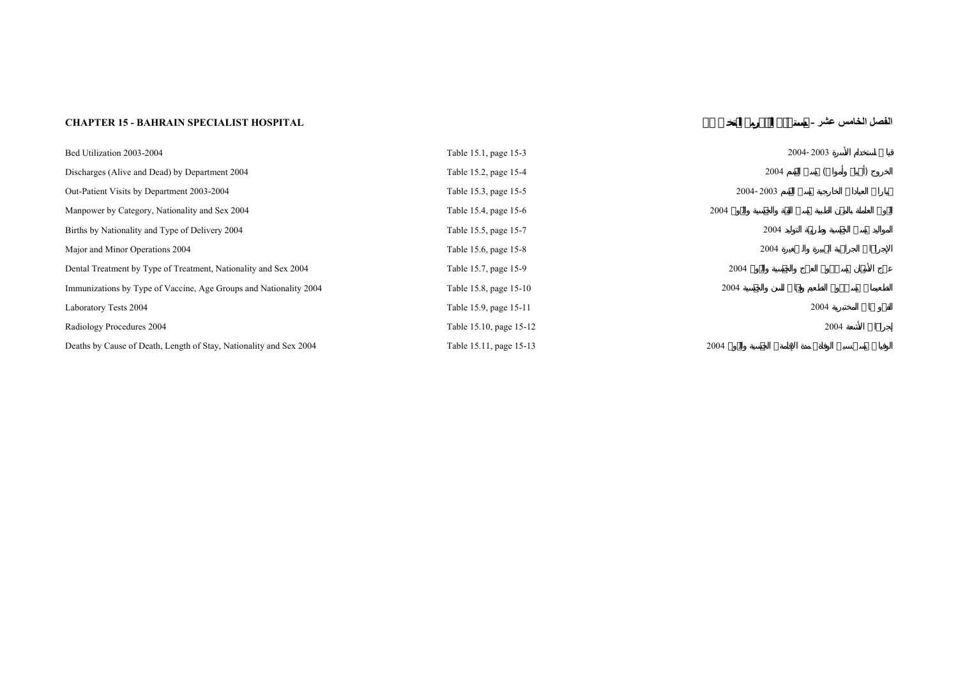## **CHAPTER 15 - BAHRAIN SPECIALIST HOSPITAL -**

**عشر الخامس الفصل**

| Bed Utilization 2003-2004                                          | Table 15.1, page 15-3   |                  | 2004-2003 |  |
|--------------------------------------------------------------------|-------------------------|------------------|-----------|--|
| Discharges (Alive and Dead) by Department 2004                     | Table 15.2, page 15-4   | 2004             |           |  |
| Out-Patient Visits by Department 2003-2004                         | Table 15.3, page 15-5   | 2004-2003        |           |  |
| Manpower by Category, Nationality and Sex 2004                     | Table 15.4, page 15-6   | 2004             |           |  |
| Births by Nationality and Type of Delivery 2004                    | Table 15.5, page 15-7   | 2004             |           |  |
| Major and Minor Operations 2004                                    | Table 15.6, page 15-8   | 2004             |           |  |
| Dental Treatment by Type of Treatment, Nationality and Sex 2004    | Table 15.7, page 15-9   | 2004             |           |  |
| Immunizations by Type of Vaccine, Age Groups and Nationality 2004  | Table 15.8, page 15-10  | 2004             |           |  |
| Laboratory Tests 2004                                              | Table 15.9, page 15-11  |                  | 2004      |  |
| Radiology Procedures 2004                                          | Table 15.10, page 15-12 |                  | 2004      |  |
| Deaths by Cause of Death, Length of Stay, Nationality and Sex 2004 | Table 15.11, page 15-13 | 2004<br>$\Delta$ |           |  |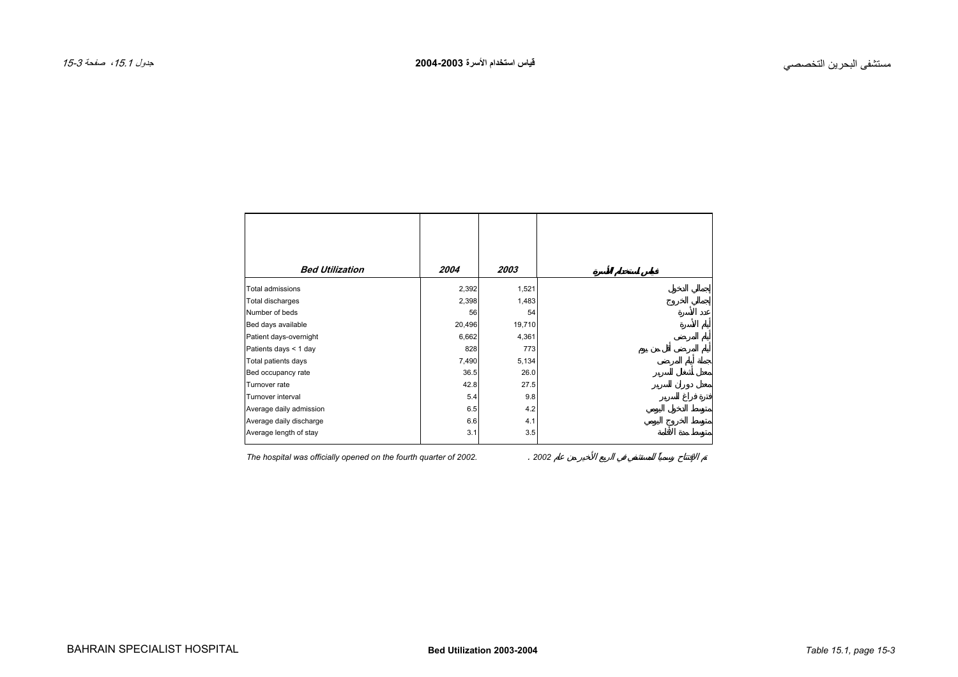<span id="page-2-0"></span> $\Gamma$ 

| <b>Bed Utilization</b>  | 2004   | 2003   |
|-------------------------|--------|--------|
|                         |        |        |
| Total admissions        | 2,392  | 1,521  |
| Total discharges        | 2,398  | 1,483  |
| Number of beds          | 56     | 54     |
| Bed days available      | 20,496 | 19,710 |
| Patient days-overnight  | 6,662  | 4,361  |
| Patients days < 1 day   | 828    | 773    |
| Total patients days     | 7,490  | 5,134  |
| Bed occupancy rate      | 36.5   | 26.0   |
| Turnover rate           | 42.8   | 27.5   |
| Turnover interval       | 5.4    | 9.8    |
| Average daily admission | 6.5    | 4.2    |
| Average daily discharge | 6.6    | 4.1    |
| Average length of stay  | 3.1    | 3.5    |
|                         |        |        |

*The hospital was officially opened on the fourth quarter of 2002.* . *2002*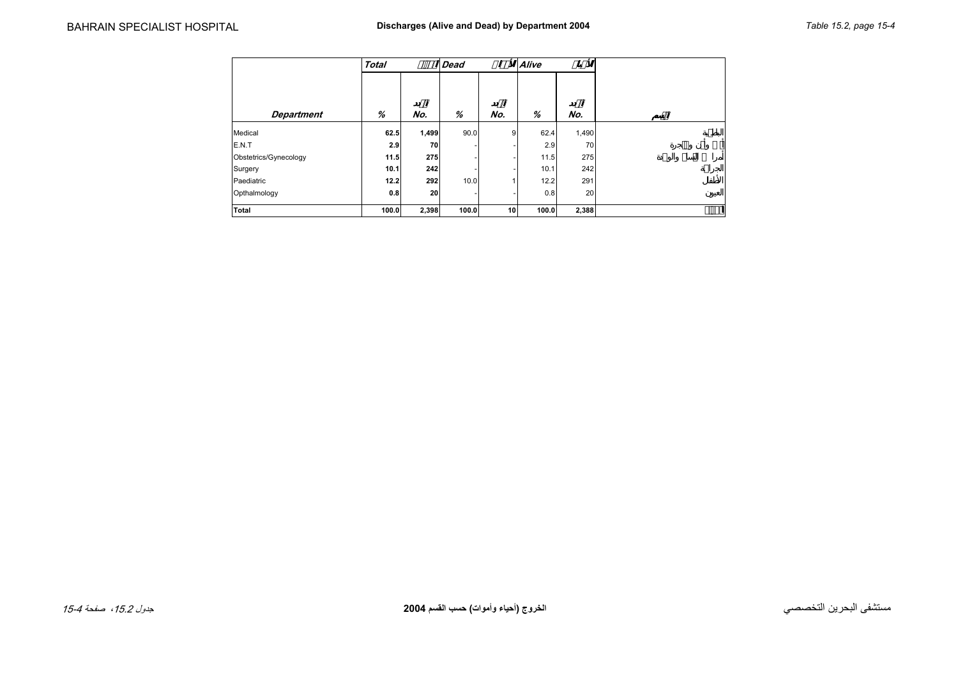<span id="page-3-0"></span>

|                       | <b>Total</b> |       | <b>Dead</b> |     | Alive |       |  |
|-----------------------|--------------|-------|-------------|-----|-------|-------|--|
|                       |              |       |             |     |       |       |  |
| <b>Department</b>     | %            | No.   | %           | No. | %     | No.   |  |
| Medical               | 62.5         | 1,499 | 90.0        | 9   | 62.4  | 1,490 |  |
| E.N.T                 | 2.9          | 70    |             |     | 2.9   | 70    |  |
| Obstetrics/Gynecology | 11.5         | 275   |             | -   | 11.5  | 275   |  |
| Surgery               | 10.1         | 242   |             | -   | 10.1  | 242   |  |
| Paediatric            | 12.2         | 292   | 10.0        |     | 12.2  | 291   |  |
| Opthalmology          | 0.8          | 20    |             | -   | 0.8   | 20    |  |
| <b>Total</b>          | 100.0        | 2,398 | 100.0       | 10  | 100.0 | 2,388 |  |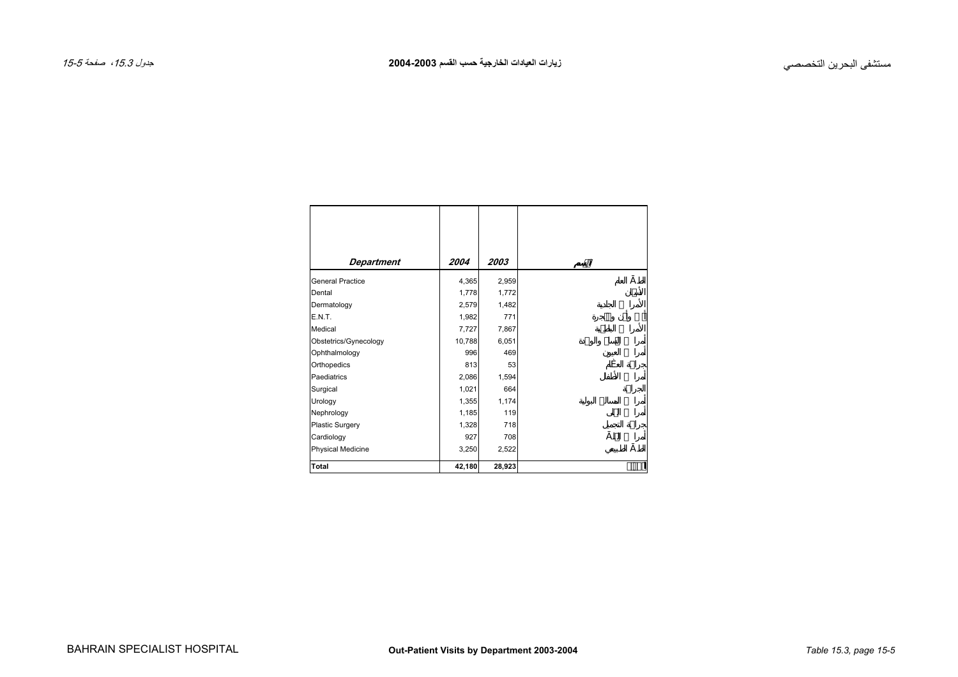<span id="page-4-0"></span>

| Department              | 2004   | 2003   |
|-------------------------|--------|--------|
| <b>General Practice</b> | 4,365  | 2,959  |
| Dental                  | 1,778  | 1,772  |
| Dermatology             | 2,579  | 1,482  |
| E.N.T.                  | 1,982  | 771    |
| Medical                 | 7,727  | 7,867  |
| Obstetrics/Gynecology   | 10,788 | 6,051  |
| Ophthalmology           | 996    | 469    |
| Orthopedics             | 813    | 53     |
| Paediatrics             | 2,086  | 1,594  |
| Surgical                | 1,021  | 664    |
| Urology                 | 1,355  | 1,174  |
| Nephrology              | 1,185  | 119    |
| Plastic Surgery         | 1,328  | 718    |
| Cardiology              | 927    | 708    |
| Physical Medicine       | 3,250  | 2,522  |
| <b>Total</b>            | 42,180 | 28,923 |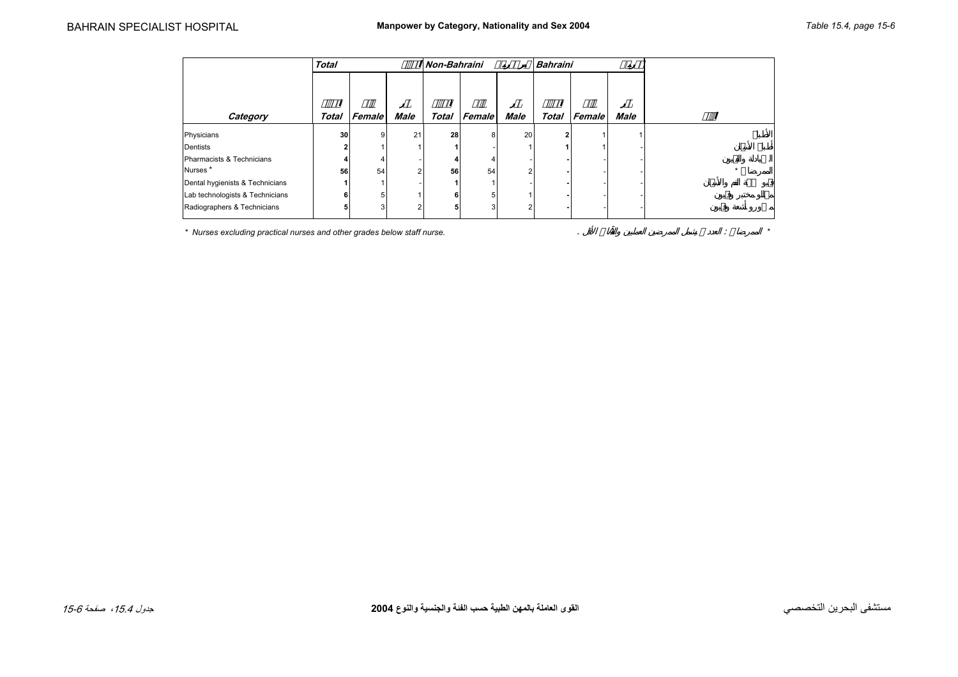<span id="page-5-0"></span>

|                                 | <b>Total</b> |        |      | Non-Bahraini |        |      | <b>Bahraini</b> |        |             |  |
|---------------------------------|--------------|--------|------|--------------|--------|------|-----------------|--------|-------------|--|
| Category                        | Total        | Female | Male | <b>Total</b> | Female | Male | <b>Total</b>    | Female | <b>Male</b> |  |
|                                 |              |        |      |              |        |      |                 |        |             |  |
| Physicians                      | 30           |        | 21   | 28           |        | 20   | $\overline{2}$  |        |             |  |
| Dentists                        |              |        |      |              |        |      |                 |        |             |  |
| Pharmacists & Technicians       |              |        |      |              |        |      |                 |        |             |  |
| Nurses <sup>*</sup>             | 56           | 54     | 2    | 56           | 54     | 2    |                 |        |             |  |
| Dental hygienists & Technicians |              |        |      |              |        |      |                 |        |             |  |
| Lab technologists & Technicians | 6            |        |      | 6            |        |      |                 |        |             |  |
| Radiographers & Technicians     | a            |        | 2    | 5            |        | っ    |                 |        |             |  |

*\* Nurses excluding practical nurses and other grades below staff nurse.* . : *\**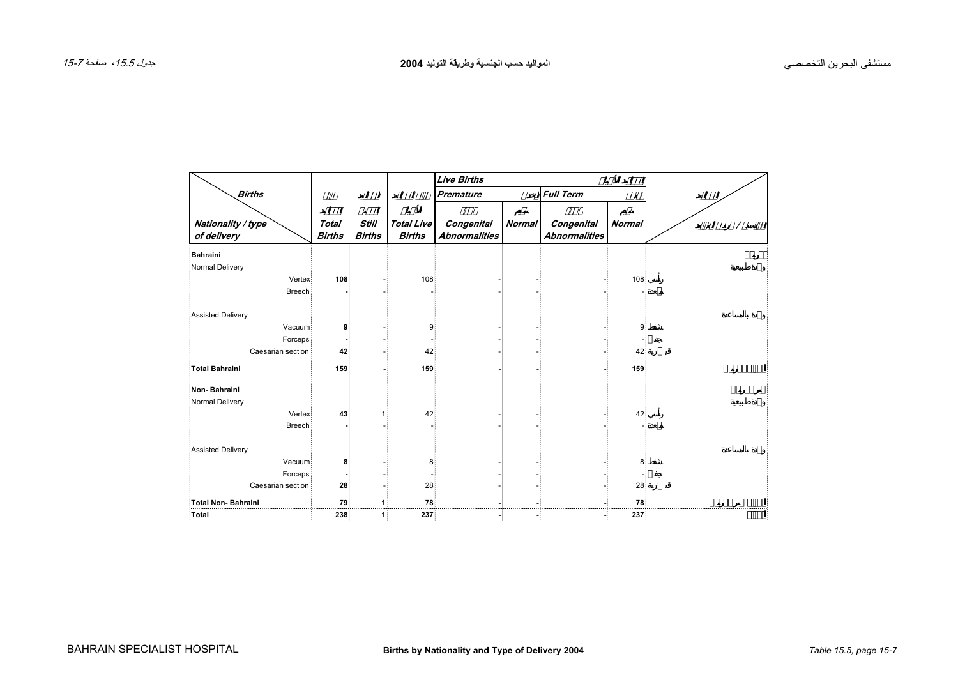<span id="page-6-0"></span>

|                                   |                               |                               |                                    | <b>Live Births</b>                 |               |                                    |               |  |
|-----------------------------------|-------------------------------|-------------------------------|------------------------------------|------------------------------------|---------------|------------------------------------|---------------|--|
| <b>Births</b>                     |                               |                               |                                    | <b>Premature</b>                   |               | <b>Full Term</b>                   | ø             |  |
| Nationality / type<br>of delivery | <b>Total</b><br><b>Births</b> | <b>Still</b><br><b>Births</b> | <b>Total Live</b><br><b>Births</b> | Congenital<br><b>Abnormalities</b> | <b>Normal</b> | Congenital<br><b>Abnormalities</b> | <b>Normal</b> |  |
| <b>Bahraini</b>                   |                               |                               |                                    |                                    |               |                                    |               |  |
| Normal Delivery                   |                               |                               |                                    |                                    |               |                                    |               |  |
| Vertex                            | 108                           |                               | 108                                |                                    |               |                                    | 108           |  |
| <b>Breech</b>                     |                               |                               |                                    |                                    |               |                                    |               |  |
| <b>Assisted Delivery</b>          |                               |                               |                                    |                                    |               |                                    |               |  |
| Vacuum                            | 9                             |                               | 9                                  |                                    |               |                                    | 9             |  |
| Forceps                           |                               |                               |                                    |                                    |               |                                    |               |  |
| Caesarian section                 | 42                            |                               | 42                                 |                                    |               |                                    | 42            |  |
| <b>Total Bahraini</b>             | 159                           |                               | 159                                |                                    |               |                                    | 159           |  |
| Non-Bahraini                      |                               |                               |                                    |                                    |               |                                    |               |  |
| Normal Delivery                   |                               |                               |                                    |                                    |               |                                    |               |  |
| Vertex                            | 43                            |                               | 42                                 |                                    |               |                                    | 42            |  |
| <b>Breech</b>                     |                               |                               |                                    |                                    |               |                                    |               |  |
| <b>Assisted Delivery</b>          |                               |                               |                                    |                                    |               |                                    |               |  |
| Vacuum                            | 8                             |                               | 8                                  |                                    |               |                                    | 8             |  |
| Forceps                           |                               |                               |                                    |                                    |               |                                    |               |  |
| Caesarian section                 | 28                            |                               | 28                                 |                                    |               |                                    | 28            |  |
| <b>Total Non-Bahraini</b>         | 79                            | 1                             | 78                                 |                                    |               |                                    | 78            |  |
| Total                             | 238                           | 1                             | 237                                |                                    |               |                                    | 237           |  |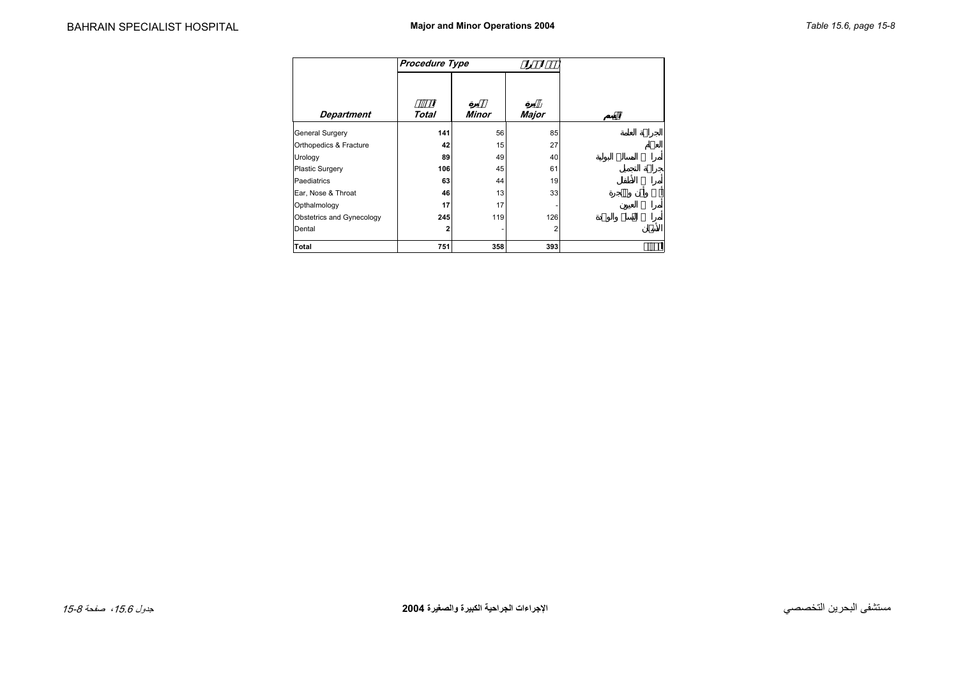<span id="page-7-0"></span>

|                                  | <b>Procedure Type</b> |              |              |
|----------------------------------|-----------------------|--------------|--------------|
|                                  |                       |              |              |
| <b>Department</b>                | Total                 | <b>Minor</b> | <b>Major</b> |
| General Surgery                  | 141                   | 56           | 85           |
| Orthopedics & Fracture           | 42                    | 15           | 27           |
| Urology                          | 89                    | 49           | 40           |
| Plastic Surgery                  | 106                   | 45           | 61           |
| Paediatrics                      | 63                    | 44           | 19           |
| Ear, Nose & Throat               | 46                    | 13           | 33           |
| Opthalmology                     | 17                    | 17           |              |
| <b>Obstetrics and Gynecology</b> | 245                   | 119          | 126          |
| Dental                           | 2                     |              | 2            |
| Total                            | 751                   | 358          | 393          |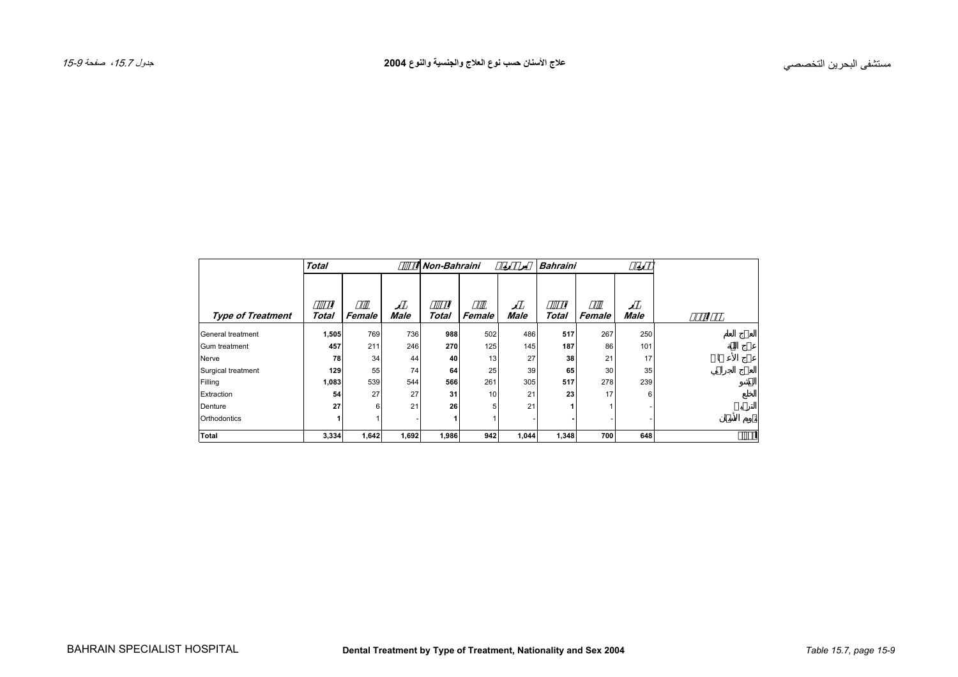<span id="page-8-0"></span>

|                          | <b>Total</b> |        |       | <b>Non-Bahraini</b> |                 |             | <b>Bahraini</b> |        |             |  |
|--------------------------|--------------|--------|-------|---------------------|-----------------|-------------|-----------------|--------|-------------|--|
| <b>Type of Treatment</b> | Total        | Female | Male  | <b>Total</b>        | Female          | <b>Male</b> | <b>Total</b>    | Female | <b>Male</b> |  |
|                          |              |        |       |                     |                 |             |                 |        |             |  |
| General treatment        | 1,505        | 769    | 736   | 988                 | 502             | 486         | 517             | 267    | 250         |  |
| Gum treatment            | 457          | 211    | 246   | 270                 | 125             | 145         | 187             | 86     | 101         |  |
| Nerve                    | 78           | 34     | 44    | 40                  | 13              | 27          | 38              | 21     | 17          |  |
| Surgical treatment       | 129          | 55     | 74    | 64                  | 25              | 39          | 65              | 30     | 35          |  |
| Filling                  | 1,083        | 539    | 544   | 566                 | 261             | 305         | 517             | 278    | 239         |  |
| Extraction               | 54           | 27     | 27    | 31                  | 10 <sub>1</sub> | 21          | 23              | 17     | 6           |  |
| Denture                  | 27           | 6      | 21    | 26                  | 5               | 21          |                 |        |             |  |
| Orthodontics             |              |        |       |                     |                 |             |                 |        |             |  |
| <b>Total</b>             | 3,334        | 1,642  | 1,692 | 1,986               | 942             | 1,044       | 1,348           | 700    | 648         |  |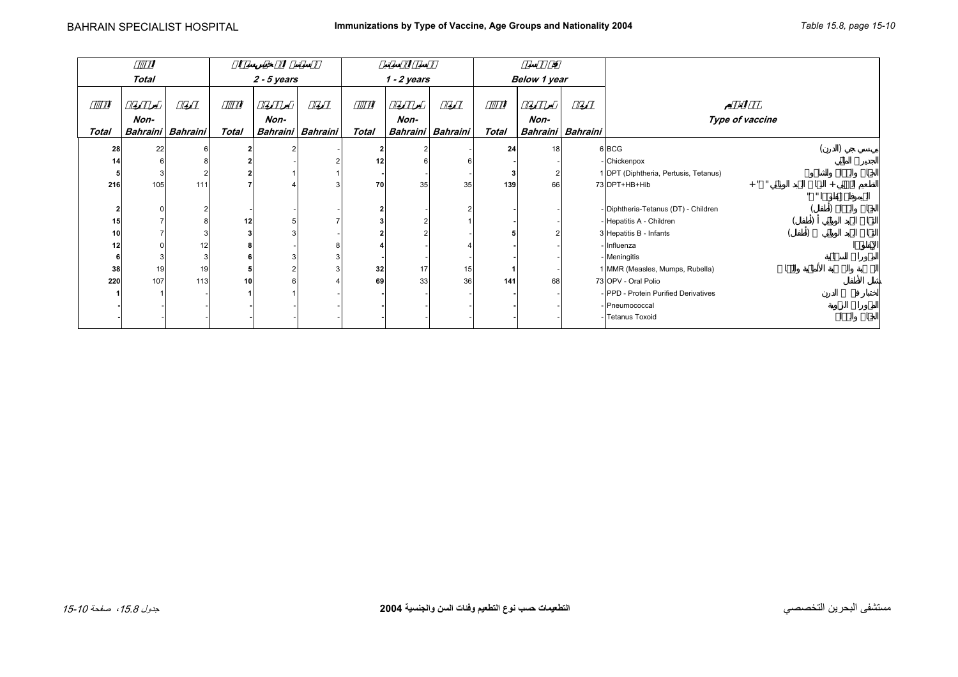<span id="page-9-0"></span>

|              |              |                   |                 |               |                   |              |               |                   |                     | ø    |                   |                                       |                           |
|--------------|--------------|-------------------|-----------------|---------------|-------------------|--------------|---------------|-------------------|---------------------|------|-------------------|---------------------------------------|---------------------------|
|              | <b>Total</b> |                   |                 | $2 - 5$ years |                   |              | $1 - 2$ years |                   | <b>Below 1 year</b> |      |                   |                                       |                           |
|              |              |                   |                 |               |                   |              |               |                   |                     |      |                   |                                       |                           |
|              |              |                   |                 |               |                   |              |               |                   |                     |      |                   |                                       |                           |
|              | Non-         |                   |                 | Non-          |                   |              | Non-          |                   |                     | Non- |                   | Type of vaccine                       |                           |
| <b>Total</b> |              | Bahraini Bahraini | <b>Total</b>    |               | Bahraini Bahraini | <b>Total</b> |               | Bahraini Bahraini | <b>Total</b>        |      | Bahraini Bahraini |                                       |                           |
| 28           | 22           | 6                 |                 |               |                   |              |               |                   | 24                  | 18   |                   | 6 BCG                                 |                           |
| 14           |              |                   |                 |               |                   | 12           |               |                   |                     |      |                   | - Chickenpox                          |                           |
|              |              |                   |                 |               |                   |              |               |                   |                     |      |                   | 1 DPT (Diphtheria, Pertusis, Tetanus) |                           |
| 216          | 105          | 111               |                 |               |                   | 70           | 35            | 35                | 139                 | 66   |                   | $+$ "<br>73 DPT+HB+Hib                |                           |
|              |              |                   |                 |               |                   |              |               |                   |                     |      |                   |                                       | $\mathbf{u}$ $\mathbf{u}$ |
|              |              |                   |                 |               |                   |              |               |                   |                     |      |                   | - Diphtheria-Tetanus (DT) - Children  |                           |
| 15           |              |                   | 12 <sub>1</sub> |               |                   |              |               |                   |                     |      |                   | - Hepatitis A - Children              |                           |
| 10           |              | 3                 |                 |               |                   |              |               |                   |                     |      |                   | 3 Hepatitis B - Infants               |                           |
| 12           |              | 12                |                 |               |                   |              |               |                   |                     |      |                   | - Influenza                           |                           |
|              |              | 3                 |                 |               |                   |              |               |                   |                     |      |                   | - Meningitis                          |                           |
| 38           | 19           | 19                |                 |               |                   | 32           | 17            | 15                |                     |      |                   | 1 MMR (Measles, Mumps, Rubella)       |                           |
| 220          | 107          | 113               | 10              |               |                   | 69           | 33            | 36                | 141                 | 68   |                   | 73 OPV - Oral Polio                   |                           |
|              |              |                   |                 |               |                   |              |               |                   |                     |      |                   | - PPD - Protein Purified Derivatives  |                           |
|              |              |                   |                 |               |                   |              |               |                   |                     |      |                   | - Pneumococcal                        |                           |
|              |              |                   |                 |               |                   |              |               |                   |                     |      |                   | - Tetanus Toxoid                      |                           |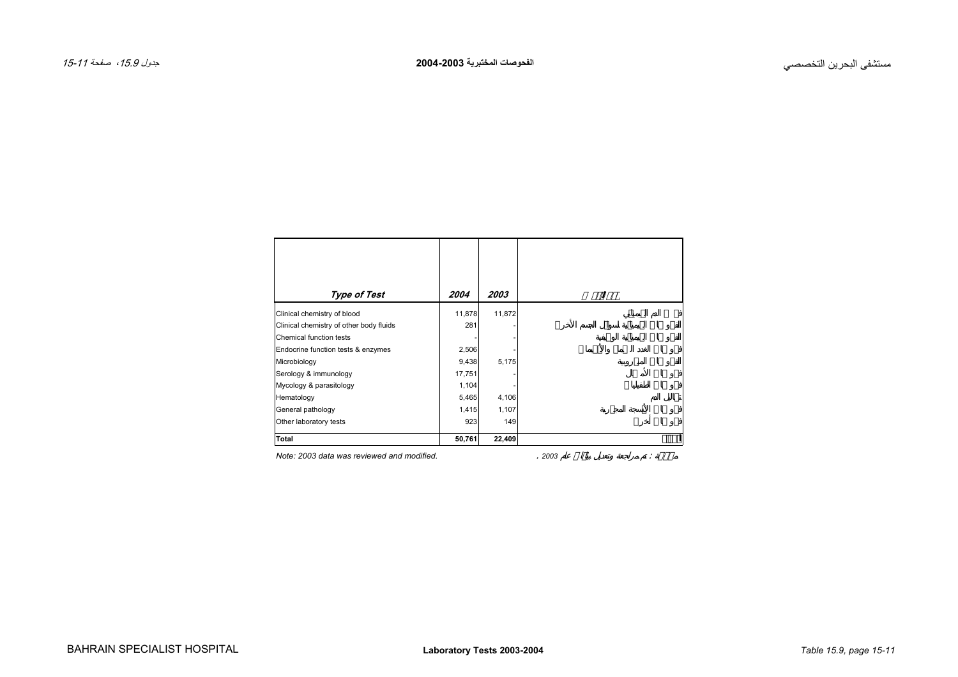<span id="page-10-0"></span>

| Type of Test                               | 2004   | 2003   |      |
|--------------------------------------------|--------|--------|------|
| Clinical chemistry of blood                | 11,878 | 11,872 |      |
| Clinical chemistry of other body fluids    | 281    |        |      |
| Chemical function tests                    |        |        |      |
| Endocrine function tests & enzymes         | 2,506  |        |      |
| Microbiology                               | 9,438  | 5,175  |      |
| Serology & immunology                      | 17,751 |        |      |
| Mycology & parasitology                    | 1,104  |        |      |
| Hematology                                 | 5,465  | 4,106  |      |
| General pathology                          | 1,415  | 1,107  |      |
| Other laboratory tests                     | 923    | 149    |      |
| Total                                      | 50,761 | 22,409 |      |
| Note: 2003 data was reviewed and modified. |        |        | 2003 |

*Note: 2003 data was reviewed and modified.*. : 1999 - 1999 - 1999 - 1999 - 1999 - 1999 - 1999 - 1999 - 1999 - 1999 - 1999 - 1999 - 1999 - 1999 - 1999 - 199<br>1999 - 1999 - 1999 - 1999 - 1999 - 1999 - 1999 - 1999 - 1999 - 1999 - 1999 - 1999 - 1999 - 1999 - 1999 - 1999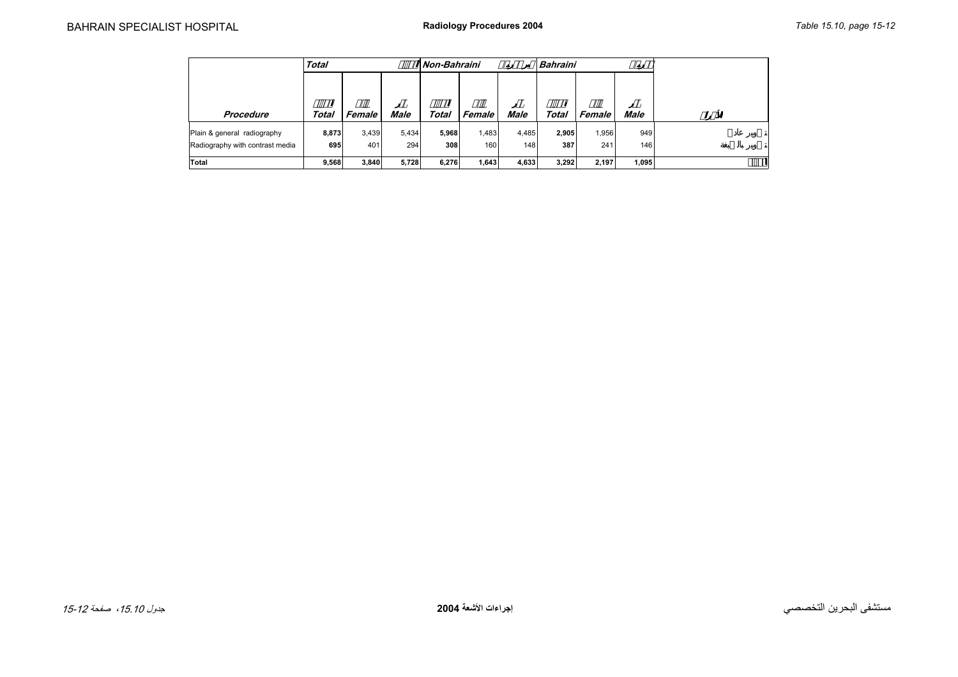<span id="page-11-0"></span>

|                                 | <b>Total</b> |               |             | Non-Bahraini |        |             | <b>Bahraini</b> |        |       |  |
|---------------------------------|--------------|---------------|-------------|--------------|--------|-------------|-----------------|--------|-------|--|
|                                 |              |               |             |              |        |             |                 |        |       |  |
|                                 |              |               |             |              |        |             |                 |        |       |  |
| Procedure                       | Total        | <b>Female</b> | <b>Male</b> | Total        | Female | <b>Male</b> | Total           | Female | Male  |  |
| Plain & general radiography     | 8,873        | 3,439         | 5,434       | 5,968        | 1,483  | 4,485       | 2,905           | 1,956  | 949   |  |
| Radiography with contrast media | 695          | 401           | 294         | 308          | 160    | 148         | 387             | 241    | 146   |  |
| Total                           | 9,568        | 3,840         | 5,728       | 6,276        | 1,643  | 4,633       | 3,292           | 2.197  | 1.095 |  |